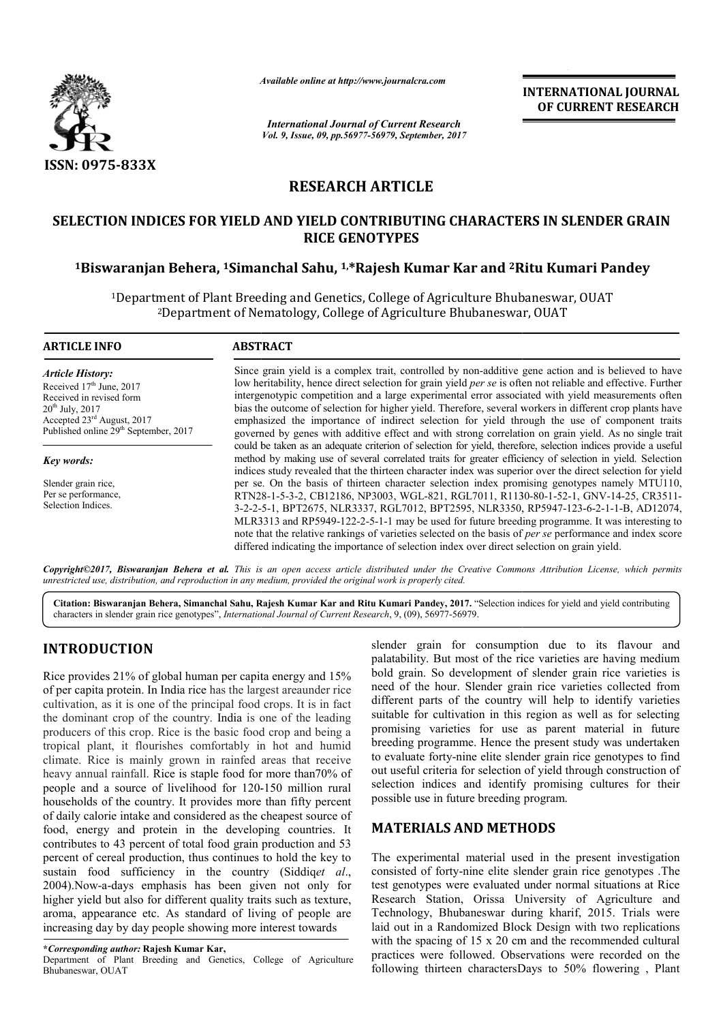

*Available online at http://www.journal http://www.journalcra.com*

# **RESEARCH ARTICLE**

### SELECTION INDICES FOR YIELD AND YIELD CONTRIBUTING CHARACTERS IN SLENDER GRAIN **RICE GENOTYPES**

## **1Biswaranjan Behera, 1Simanchal Sahu, Simanchal 1, \*Rajesh Kumar Kar and 2Ritu Kumari Pandey Ritu Kumari Pandey**

|                                                                                                                                                                                                                                                                                                                                                                                                                                                                                                                                                                                                                                                                                | лтанион опине игнир.//www.journancra.com                                                                                                                                                                                                                                                                                                                                                                                                                                                                                                                                                                                                                                                                                                                                                                                                                                                                                                                                                           | <b>International Journal of Current Research</b>                                            | <b>INTERNATIONAL JOURNAL</b><br>OF CURRENT RESEARCH                                                                                                                                                                                                                                                                                                                                                                                                                                                                                                                                                      |
|--------------------------------------------------------------------------------------------------------------------------------------------------------------------------------------------------------------------------------------------------------------------------------------------------------------------------------------------------------------------------------------------------------------------------------------------------------------------------------------------------------------------------------------------------------------------------------------------------------------------------------------------------------------------------------|----------------------------------------------------------------------------------------------------------------------------------------------------------------------------------------------------------------------------------------------------------------------------------------------------------------------------------------------------------------------------------------------------------------------------------------------------------------------------------------------------------------------------------------------------------------------------------------------------------------------------------------------------------------------------------------------------------------------------------------------------------------------------------------------------------------------------------------------------------------------------------------------------------------------------------------------------------------------------------------------------|---------------------------------------------------------------------------------------------|----------------------------------------------------------------------------------------------------------------------------------------------------------------------------------------------------------------------------------------------------------------------------------------------------------------------------------------------------------------------------------------------------------------------------------------------------------------------------------------------------------------------------------------------------------------------------------------------------------|
|                                                                                                                                                                                                                                                                                                                                                                                                                                                                                                                                                                                                                                                                                |                                                                                                                                                                                                                                                                                                                                                                                                                                                                                                                                                                                                                                                                                                                                                                                                                                                                                                                                                                                                    | Vol. 9, Issue, 09, pp.56977-56979, September, 2017                                          |                                                                                                                                                                                                                                                                                                                                                                                                                                                                                                                                                                                                          |
| <b>ISSN: 0975-833X</b>                                                                                                                                                                                                                                                                                                                                                                                                                                                                                                                                                                                                                                                         |                                                                                                                                                                                                                                                                                                                                                                                                                                                                                                                                                                                                                                                                                                                                                                                                                                                                                                                                                                                                    |                                                                                             |                                                                                                                                                                                                                                                                                                                                                                                                                                                                                                                                                                                                          |
|                                                                                                                                                                                                                                                                                                                                                                                                                                                                                                                                                                                                                                                                                |                                                                                                                                                                                                                                                                                                                                                                                                                                                                                                                                                                                                                                                                                                                                                                                                                                                                                                                                                                                                    | <b>RESEARCH ARTICLE</b>                                                                     |                                                                                                                                                                                                                                                                                                                                                                                                                                                                                                                                                                                                          |
|                                                                                                                                                                                                                                                                                                                                                                                                                                                                                                                                                                                                                                                                                |                                                                                                                                                                                                                                                                                                                                                                                                                                                                                                                                                                                                                                                                                                                                                                                                                                                                                                                                                                                                    | <b>RICE GENOTYPES</b>                                                                       | SELECTION INDICES FOR YIELD AND YIELD CONTRIBUTING CHARACTERS IN SLENDER GRAIN                                                                                                                                                                                                                                                                                                                                                                                                                                                                                                                           |
|                                                                                                                                                                                                                                                                                                                                                                                                                                                                                                                                                                                                                                                                                | <sup>1</sup> Biswaranjan Behera, <sup>1</sup> Simanchal Sahu, <sup>1,*</sup> Rajesh Kumar Kar and <sup>2</sup> Ritu Kumari Pandey                                                                                                                                                                                                                                                                                                                                                                                                                                                                                                                                                                                                                                                                                                                                                                                                                                                                  |                                                                                             |                                                                                                                                                                                                                                                                                                                                                                                                                                                                                                                                                                                                          |
|                                                                                                                                                                                                                                                                                                                                                                                                                                                                                                                                                                                                                                                                                | <sup>1</sup> Department of Plant Breeding and Genetics, College of Agriculture Bhubaneswar, OUAT<br><sup>2</sup> Department of Nematology, College of Agriculture Bhubaneswar, OUAT                                                                                                                                                                                                                                                                                                                                                                                                                                                                                                                                                                                                                                                                                                                                                                                                                |                                                                                             |                                                                                                                                                                                                                                                                                                                                                                                                                                                                                                                                                                                                          |
| <b>ARTICLE INFO</b>                                                                                                                                                                                                                                                                                                                                                                                                                                                                                                                                                                                                                                                            | <b>ABSTRACT</b>                                                                                                                                                                                                                                                                                                                                                                                                                                                                                                                                                                                                                                                                                                                                                                                                                                                                                                                                                                                    |                                                                                             |                                                                                                                                                                                                                                                                                                                                                                                                                                                                                                                                                                                                          |
| <b>Article History:</b><br>Received 17 <sup>th</sup> June, 2017<br>Received in revised form<br>20 <sup>th</sup> July, 2017<br>Accepted 23 <sup>rd</sup> August, 2017<br>Published online 29 <sup>th</sup> September, 2017                                                                                                                                                                                                                                                                                                                                                                                                                                                      | Since grain yield is a complex trait, controlled by non-additive gene action and is believed to have<br>low heritability, hence direct selection for grain yield <i>per se</i> is often not reliable and effective. Further<br>intergenotypic competition and a large experimental error associated with yield measurements often<br>bias the outcome of selection for higher yield. Therefore, several workers in different crop plants have<br>emphasized the importance of indirect selection for yield through the use of component traits<br>governed by genes with additive effect and with strong correlation on grain yield. As no single trait<br>could be taken as an adequate criterion of selection for yield, therefore, selection indices provide a useful<br>method by making use of several correlated traits for greater efficiency of selection in yield. Selection<br>indices study revealed that the thirteen character index was superior over the direct selection for yield |                                                                                             |                                                                                                                                                                                                                                                                                                                                                                                                                                                                                                                                                                                                          |
| Key words:                                                                                                                                                                                                                                                                                                                                                                                                                                                                                                                                                                                                                                                                     |                                                                                                                                                                                                                                                                                                                                                                                                                                                                                                                                                                                                                                                                                                                                                                                                                                                                                                                                                                                                    |                                                                                             |                                                                                                                                                                                                                                                                                                                                                                                                                                                                                                                                                                                                          |
| Slender grain rice,<br>Per se performance,<br>Selection Indices.                                                                                                                                                                                                                                                                                                                                                                                                                                                                                                                                                                                                               |                                                                                                                                                                                                                                                                                                                                                                                                                                                                                                                                                                                                                                                                                                                                                                                                                                                                                                                                                                                                    | differed indicating the importance of selection index over direct selection on grain yield. | per se. On the basis of thirteen character selection index promising genotypes namely MTU110,<br>RTN28-1-5-3-2, CB12186, NP3003, WGL-821, RGL7011, R1130-80-1-52-1, GNV-14-25, CR3511-<br>3-2-2-5-1, BPT2675, NLR3337, RGL7012, BPT2595, NLR3350, RP5947-123-6-2-1-1-B, AD12074,<br>MLR3313 and RP5949-122-2-5-1-1 may be used for future breeding programme. It was interesting to<br>note that the relative rankings of varieties selected on the basis of per se performance and index score                                                                                                          |
| unrestricted use, distribution, and reproduction in any medium, provided the original work is properly cited.                                                                                                                                                                                                                                                                                                                                                                                                                                                                                                                                                                  |                                                                                                                                                                                                                                                                                                                                                                                                                                                                                                                                                                                                                                                                                                                                                                                                                                                                                                                                                                                                    |                                                                                             | Copyright©2017, Biswaranjan Behera et al. This is an open access article distributed under the Creative Commons Attribution License, which permits                                                                                                                                                                                                                                                                                                                                                                                                                                                       |
| characters in slender grain rice genotypes", International Journal of Current Research, 9, (09), 56977-56979.                                                                                                                                                                                                                                                                                                                                                                                                                                                                                                                                                                  |                                                                                                                                                                                                                                                                                                                                                                                                                                                                                                                                                                                                                                                                                                                                                                                                                                                                                                                                                                                                    |                                                                                             | Citation: Biswaranjan Behera, Simanchal Sahu, Rajesh Kumar Kar and Ritu Kumari Pandey, 2017. "Selection indices for yield and yield contributing                                                                                                                                                                                                                                                                                                                                                                                                                                                         |
| <b>INTRODUCTION</b>                                                                                                                                                                                                                                                                                                                                                                                                                                                                                                                                                                                                                                                            |                                                                                                                                                                                                                                                                                                                                                                                                                                                                                                                                                                                                                                                                                                                                                                                                                                                                                                                                                                                                    |                                                                                             | slender grain for consumption due to its flavour and<br>palatability. But most of the rice varieties are having medium                                                                                                                                                                                                                                                                                                                                                                                                                                                                                   |
| Rice provides 21% of global human per capita energy and 15%<br>of per capita protein. In India rice has the largest areaunder rice<br>cultivation, as it is one of the principal food crops. It is in fact<br>the dominant crop of the country. India is one of the leading<br>producers of this crop. Rice is the basic food crop and being a<br>tropical plant, it flourishes comfortably in hot and humid<br>climate. Rice is mainly grown in rainfed areas that receive<br>heavy annual rainfall. Rice is staple food for more than70% of<br>people and a source of livelihood for 120-150 million rural<br>households of the country. It provides more than fifty percent |                                                                                                                                                                                                                                                                                                                                                                                                                                                                                                                                                                                                                                                                                                                                                                                                                                                                                                                                                                                                    | possible use in future breeding program.                                                    | bold grain. So development of slender grain rice varieties is<br>need of the hour. Slender grain rice varieties collected from<br>different parts of the country will help to identify varieties<br>suitable for cultivation in this region as well as for selecting<br>promising varieties for use as parent material in future<br>breeding programme. Hence the present study was undertaken<br>to evaluate forty-nine elite slender grain rice genotypes to find<br>out useful criteria for selection of yield through construction of<br>selection indices and identify promising cultures for their |
| of daily calorie intake and considered as the cheapest source of<br>food, energy and protein in the developing countries. It<br>contributes to 43 percent of total food grain production and 53                                                                                                                                                                                                                                                                                                                                                                                                                                                                                |                                                                                                                                                                                                                                                                                                                                                                                                                                                                                                                                                                                                                                                                                                                                                                                                                                                                                                                                                                                                    | <b>MATERIALS AND METHODS</b>                                                                |                                                                                                                                                                                                                                                                                                                                                                                                                                                                                                                                                                                                          |
| percent of cereal production, thus continues to hold the key to<br>sustain food sufficiency in the country (Siddiqet al.,<br>2004). Now-a-days emphasis has been given not only for<br>higher yield but also for different quality traits such as texture,<br>aroma, appearance etc. As standard of living of people are<br>increasing day by day people showing more interest towards                                                                                                                                                                                                                                                                                         |                                                                                                                                                                                                                                                                                                                                                                                                                                                                                                                                                                                                                                                                                                                                                                                                                                                                                                                                                                                                    |                                                                                             | The experimental material used in the present investigation<br>consisted of forty-nine elite slender grain rice genotypes .The<br>test genotypes were evaluated under normal situations at Rice<br>Research Station, Orissa University of Agriculture and<br>Technology, Bhubaneswar during kharif, 2015. Trials were<br>laid out in a Randomized Block Design with two replications<br>with the spacing of $15 \times 20$ cm and the recommended cultural                                                                                                                                               |
| *Corresponding author: Rajesh Kumar Kar,<br>Department of Plant Breeding and Genetics, College of Agriculture<br>Bhubaneswar, OUAT                                                                                                                                                                                                                                                                                                                                                                                                                                                                                                                                             |                                                                                                                                                                                                                                                                                                                                                                                                                                                                                                                                                                                                                                                                                                                                                                                                                                                                                                                                                                                                    |                                                                                             | practices were followed. Observations were recorded on the<br>following thirteen charactersDays to 50% flowering, Plant                                                                                                                                                                                                                                                                                                                                                                                                                                                                                  |

# **INTRODUCTION**

## **MATERIALS AND METHODS METHODS**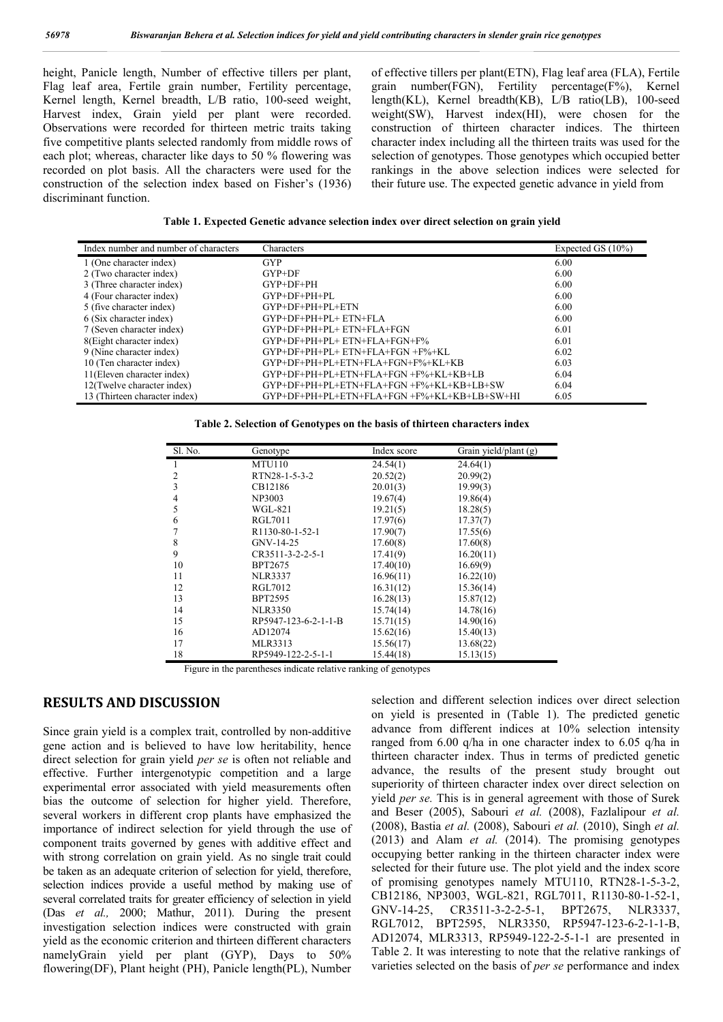height, Panicle length, Number of effective tillers per plant, Flag leaf area, Fertile grain number, Fertility percentage, Kernel length, Kernel breadth, L/B ratio, 100-seed weight, Harvest index, Grain yield per plant were recorded. Observations were recorded for thirteen metric traits taking five competitive plants selected randomly from middle rows of each plot; whereas, character like days to 50 % flowering was recorded on plot basis. All the characters were used for the construction of the selection index based on Fisher's (1936) discriminant function.

of effective tillers per plant(ETN), Flag leaf area (FLA), Fertile grain number(FGN), Fertility percentage(F%), Kernel length(KL), Kernel breadth(KB), L/B ratio(LB), 100-seed weight(SW), Harvest index(HI), were chosen for the construction of thirteen character indices. The thirteen character index including all the thirteen traits was used for the selection of genotypes. Those genotypes which occupied better rankings in the above selection indices were selected for their future use. The expected genetic advance in yield from

**Table 1. Expected Genetic advance selection index over direct selection on grain yield**

| Index number and number of characters | Characters                                  | Expected GS $(10\%)$ |
|---------------------------------------|---------------------------------------------|----------------------|
| 1 (One character index)               | <b>GYP</b>                                  | 6.00                 |
| 2 (Two character index)               | $GYP + DF$                                  | 6.00                 |
| 3 (Three character index)             | $GYP+DF+PH$                                 | 6.00                 |
| 4 (Four character index)              | $GYP+DF+PH+PI.$                             | 6.00                 |
| 5 (five character index)              | $GYP+DF+PH+PI.+ETN$                         | 6.00                 |
| 6 (Six character index)               | GYP+DF+PH+PL+ ETN+FLA                       | 6.00                 |
| 7 (Seven character index)             | GYP+DF+PH+PL+ ETN+FLA+FGN                   | 6.01                 |
| 8(Eight character index)              | GYP+DF+PH+PL+ ETN+FLA+FGN+F%                | 6.01                 |
| 9 (Nine character index)              | GYP+DF+PH+PL+ ETN+FLA+FGN +F%+KL            | 6.02                 |
| 10 (Ten character index)              | GYP+DF+PH+PL+ETN+FLA+FGN+F%+KL+KB           | 6.03                 |
| 11(Eleven character index)            | GYP+DF+PH+PL+ETN+FLA+FGN +F%+KL+KB+LB       | 6.04                 |
| 12(Twelve character index)            | GYP+DF+PH+PL+ETN+FLA+FGN +F%+KL+KB+LB+SW    | 6.04                 |
| 13 (Thirteen character index)         | GYP+DF+PH+PL+ETN+FLA+FGN +F%+KL+KB+LB+SW+HI | 6.05                 |

**Table 2. Selection of Genotypes on the basis of thirteen characters index**

| Sl. No. | Genotype                     | Index score | Grain yield/plant (g) |
|---------|------------------------------|-------------|-----------------------|
| L       | <b>MTU110</b>                | 24.54(1)    | 24.64(1)              |
| 2       | RTN28-1-5-3-2                | 20.52(2)    | 20.99(2)              |
| 3       | CB12186                      | 20.01(3)    | 19.99(3)              |
| 4       | NP3003                       | 19.67(4)    | 19.86(4)              |
| 5       | WGL-821                      | 19.21(5)    | 18.28(5)              |
| 6       | RGL7011                      | 17.97(6)    | 17.37(7)              |
| 7       | R <sub>1130</sub> -80-1-52-1 | 17.90(7)    | 17.55(6)              |
| 8       | GNV-14-25                    | 17.60(8)    | 17.60(8)              |
| 9       | $CR3511 - 3 - 2 - 2 - 5 - 1$ | 17.41(9)    | 16.20(11)             |
| 10      | <b>BPT2675</b>               | 17.40(10)   | 16.69(9)              |
| 11      | <b>NLR3337</b>               | 16.96(11)   | 16.22(10)             |
| 12      | RGL7012                      | 16.31(12)   | 15.36(14)             |
| 13      | <b>BPT2595</b>               | 16.28(13)   | 15.87(12)             |
| 14      | <b>NLR3350</b>               | 15.74(14)   | 14.78(16)             |
| 15      | RP5947-123-6-2-1-1-B         | 15.71(15)   | 14.90(16)             |
| 16      | AD12074                      | 15.62(16)   | 15.40(13)             |
| 17      | MLR3313                      | 15.56(17)   | 13.68(22)             |
| 18      | RP5949-122-2-5-1-1           | 15.44(18)   | 15.13(15)             |

Figure in the parentheses indicate relative ranking of genotypes

#### **RESULTS AND DISCUSSION**

Since grain yield is a complex trait, controlled by non-additive gene action and is believed to have low heritability, hence direct selection for grain yield *per se* is often not reliable and effective. Further intergenotypic competition and a large experimental error associated with yield measurements often bias the outcome of selection for higher yield. Therefore, several workers in different crop plants have emphasized the importance of indirect selection for yield through the use of component traits governed by genes with additive effect and with strong correlation on grain yield. As no single trait could be taken as an adequate criterion of selection for yield, therefore, selection indices provide a useful method by making use of several correlated traits for greater efficiency of selection in yield (Das *et al.,* 2000; Mathur, 2011). During the present investigation selection indices were constructed with grain yield as the economic criterion and thirteen different characters namelyGrain yield per plant (GYP), Days to 50% flowering(DF), Plant height (PH), Panicle length(PL), Number

selection and different selection indices over direct selection on yield is presented in (Table 1). The predicted genetic advance from different indices at 10% selection intensity ranged from 6.00 q/ha in one character index to 6.05 q/ha in thirteen character index. Thus in terms of predicted genetic advance, the results of the present study brought out superiority of thirteen character index over direct selection on yield *per se.* This is in general agreement with those of Surek and Beser (2005), Sabouri *et al.* (2008), Fazlalipour *et al.* (2008), Bastia *et al.* (2008), Sabouri *et al.* (2010), Singh *et al.* (2013) and Alam *et al.* (2014). The promising genotypes occupying better ranking in the thirteen character index were selected for their future use. The plot yield and the index score of promising genotypes namely MTU110, RTN28-1-5-3-2, CB12186, NP3003, WGL-821, RGL7011, R1130-80-1-52-1, GNV-14-25, CR3511-3-2-2-5-1, BPT2675, NLR3337, RGL7012, BPT2595, NLR3350, RP5947-123-6-2-1-1-B, AD12074, MLR3313, RP5949-122-2-5-1-1 are presented in Table 2. It was interesting to note that the relative rankings of varieties selected on the basis of *per se* performance and index